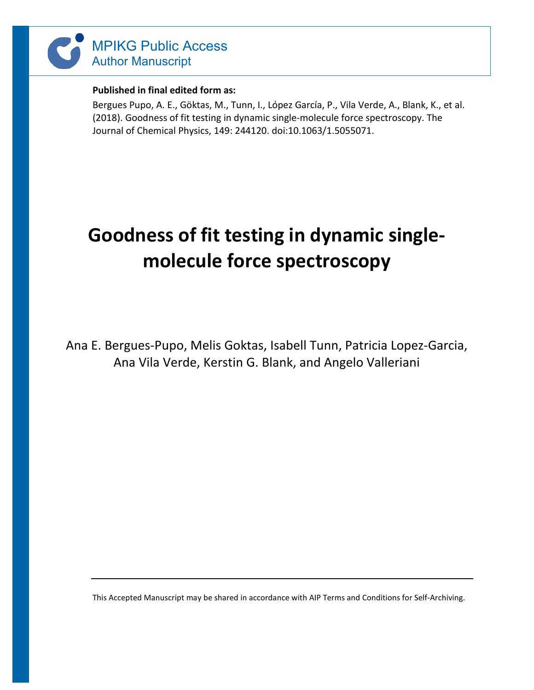

### **Published in final edited form as:**

Bergues Pupo, A. E., Göktas, M., Tunn, I., López García, P., Vila Verde, A., Blank, K., et al. (2018). Goodness of fit testing in dynamic single-molecule force spectroscopy. The Journal of Chemical Physics, 149: 244120. doi:10.1063/1.5055071.

# **Goodness of fit testing in dynamic singlemolecule force spectroscopy**

Ana E. Bergues-Pupo, Melis Goktas, Isabell Tunn, Patricia Lopez-Garcia, Ana Vila Verde, Kerstin G. Blank, and Angelo Valleriani

This Accepted Manuscript may be shared in accordance with AIP Terms and Conditions for Self-Archiving.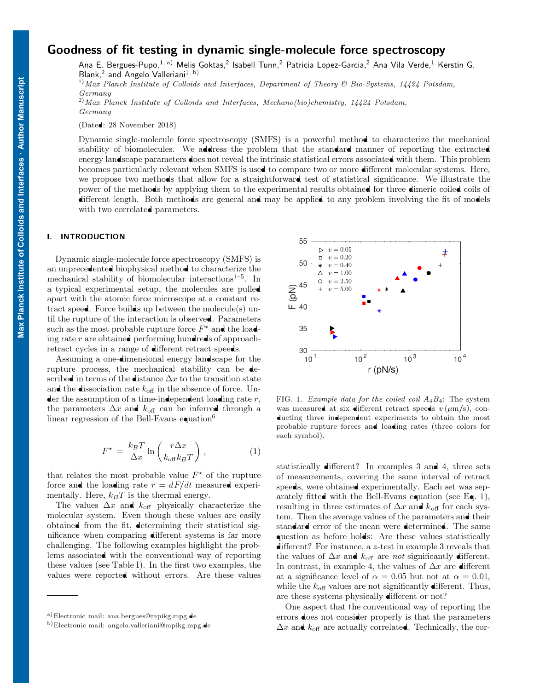## Goodness of fit testing in dynamic single-molecule force spectroscopy

Ana E. Bergues-Pupo,<sup>1, a)</sup> Melis Goktas,<sup>2</sup> Isabell Tunn,<sup>2</sup> Patricia Lopez-Garcia,<sup>2</sup> Ana Vila Verde,<sup>1</sup> Kerstin G. Blank,<sup>2</sup> and Angelo Valleriani<sup>1, b)</sup>

<sup>1)</sup> Max Planck Institute of Colloids and Interfaces, Department of Theory  $\mathcal C$  Bio-Systems, 14424 Potsdam, Germany

 $^{2)}$  Max Planck Institute of Colloids and Interfaces, Mechano(bio)chemistry, 14424 Potsdam, Germany

(Dated: 28 November 2018)

Dynamic single-molecule force spectroscopy (SMFS) is a powerful method to characterize the mechanical stability of biomolecules. We address the problem that the standard manner of reporting the extracted energy landscape parameters does not reveal the intrinsic statistical errors associated with them. This problem becomes particularly relevant when SMFS is used to compare two or more different molecular systems. Here, we propose two methods that allow for a straightforward test of statistical significance. We illustrate the power of the methods by applying them to the experimental results obtained for three dimeric coiled coils of different length. Both methods are general and may be applied to any problem involving the fit of models with two correlated parameters.

#### I. INTRODUCTION

Dynamic single-molecule force spectroscopy (SMFS) is an unprecedented biophysical method to characterize the mechanical stability of biomolecular interactions<sup> $1-5$ </sup>. In a typical experimental setup, the molecules are pulled apart with the atomic force microscope at a constant retract speed. Force builds up between the molecule(s) until the rupture of the interaction is observed. Parameters such as the most probable rupture force  $F^*$  and the loading rate  $r$  are obtained performing hundreds of approachretract cycles in a range of different retract speeds.

Assuming a one-dimensional energy landscape for the rupture process, the mechanical stability can be described in terms of the distance  $\Delta x$  to the transition state and the dissociation rate  $k_{\text{off}}$  in the absence of force. Under the assumption of a time-independent loading rate  $r$ , the parameters  $\Delta x$  and  $k_{\text{off}}$  can be inferred through a linear regression of the Bell-Evans equation<sup>6</sup>

$$
F^{\star} = \frac{k_B T}{\Delta x} \ln \left( \frac{r \Delta x}{k_{\text{off}} k_B T} \right), \qquad (1)
$$

that relates the most probable value  $F^*$  of the rupture force and the loading rate  $r = dF/dt$  measured experimentally. Here,  $k_BT$  is the thermal energy.

The values  $\Delta x$  and  $k_{\text{off}}$  physically characterize the molecular system. Even though these values are easily obtained from the fit, determining their statistical significance when comparing different systems is far more challenging. The following examples highlight the problems associated with the conventional way of reporting these values (see Table I). In the first two examples, the values were reported without errors. Are these values



FIG. 1. Example data for the coiled coil  $A_4B_4$ : The system was measured at six different retract speeds  $v \, (\mu m/s)$ , conducting three independent experiments to obtain the most probable rupture forces and loading rates (three colors for each symbol).

statistically different? In examples 3 and 4, three sets of measurements, covering the same interval of retract speeds, were obtained experimentally. Each set was separately fitted with the Bell-Evans equation (see Eq. 1), resulting in three estimates of  $\Delta x$  and  $k_{\text{off}}$  for each system. Then the average values of the parameters and their standard error of the mean were determined. The same question as before holds: Are these values statistically different? For instance, a z-test in example 3 reveals that the values of  $\Delta x$  and  $k_{\text{off}}$  are not significantly different. In contrast, in example 4, the values of  $\Delta x$  are different at a significance level of  $\alpha = 0.05$  but not at  $\alpha = 0.01$ , while the  $k_{\text{off}}$  values are not significantly different. Thus, are these systems physically different or not?

One aspect that the conventional way of reporting the errors does not consider properly is that the parameters  $\Delta x$  and  $k_{\text{off}}$  are actually correlated. Technically, the cor-

<sup>a</sup>) Electronic mail: ana. bergues@mpikg.mpg.de

b)Electronic mail: angelo.valleriani@mpikg.mpg.de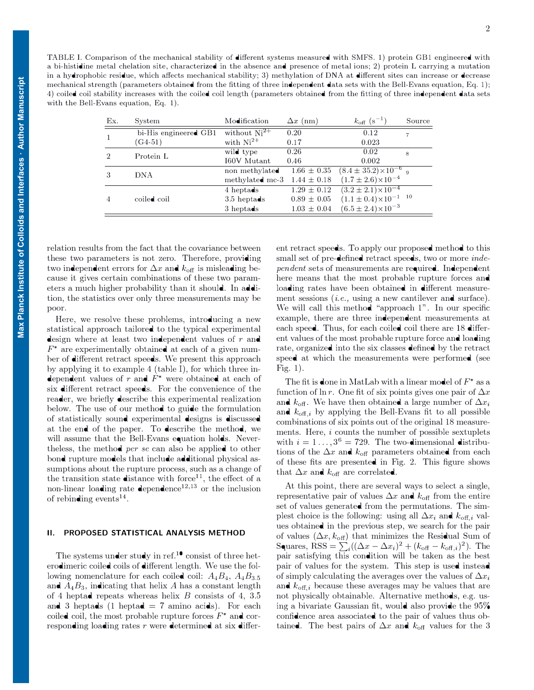| Ex.            | System                | Modification                    | $\Delta x$ (nm) | $k_{\text{off}}$ (s <sup>-1</sup> )          | Source         |
|----------------|-----------------------|---------------------------------|-----------------|----------------------------------------------|----------------|
| $\overline{1}$ | bi-His engineered GB1 | without $Ni2+$                  | 0.20            | 0.12                                         | $\overline{7}$ |
|                | $(G4-51)$             | with $Ni^{2+}$                  | 0.17            | 0.023                                        |                |
| $\mathcal{D}$  | Protein L             | wild type                       | 0.26            | 0.02                                         | 8              |
|                |                       | I60V Mutant                     | 0.46            | 0.002                                        |                |
| 3              | <b>DNA</b>            | non methylated                  | $1.66 \pm 0.35$ | $(8.4 \pm 35.2) \times 10^{-6}$ 9            |                |
|                |                       | methylated mc-3 $1.44 \pm 0.18$ |                 | $(1.7 \pm 2.6) \times 10^{-4}$               |                |
| 4              | coiled coil           | 4 heptads                       | $1.29 \pm 0.12$ | $(3.2 \pm 2.1) \times 10^{-4}$               |                |
|                |                       | $3.5$ heptads                   | $0.89 \pm 0.05$ | $(1.1 \pm 0.4) \times 10^{-1}$ <sup>10</sup> |                |
|                |                       | 3 heptads                       | $1.03 \pm 0.04$ | $(6.5 \pm 2.4) \times 10^{-3}$               |                |

relation results from the fact that the covariance between these two parameters is not zero. Therefore, providing two independent errors for  $\Delta x$  and  $k_{\text{off}}$  is misleading because it gives certain combinations of these two parameters a much higher probability than it should. In addition, the statistics over only three measurements may be poor.

Here, we resolve these problems, introducing a new statistical approach tailored to the typical experimental design where at least two independent values of  $r$  and  $F^*$  are experimentally obtained at each of a given number of different retract speeds. We present this approach by applying it to example 4 (table I), for which three independent values of r and  $F^*$  were obtained at each of six different retract speeds. For the convenience of the reader, we briefly describe this experimental realization below. The use of our method to guide the formulation of statistically sound experimental designs is discussed at the end of the paper. To describe the method, we will assume that the Bell-Evans equation holds. Nevertheless, the method per se can also be applied to other bond rupture models that include additional physical assumptions about the rupture process, such as a change of the transition state **d**istance with force<sup>11</sup>, the effect of a non-linear loading rate **dependence**<sup>12,13</sup> or the inclusion of rebinding events<sup>14</sup>.

#### II. PROPOSED STATISTICAL ANALYSIS METHOD

The systems under study in ref.<sup>10</sup> consist of three heterodimeric coiled coils of different length. We use the following nomenclature for each coiled coil:  $A_4B_4$ ,  $A_4B_3$ , 5 and  $A_4B_3$ , indicating that helix A has a constant length of 4 heptad repeats whereas helix  $B$  consists of 4, 3.5 and 3 heptads (1 heptad  $= 7$  amino acids). For each coiled coil, the most probable rupture forces  $F^*$  and corresponding loading rates  $r$  were determined at six differ-

ent retract speeds. To apply our proposed method to this small set of pre-defined retract speeds, two or more independent sets of measurements are required. Independent here means that the most probable rupture forces and loading rates have been obtained in different measurement sessions (i.e., using a new cantilever and surface). We will call this method "approach 1". In our specific example, there are three independent measurements at each speed. Thus, for each coiled coil there are 18 different values of the most probable rupture force and loading rate, organized into the six classes defined by the retract speed at which the measurements were performed (see Fig. 1).

The fit is done in MatLab with a linear model of  $F^*$  as a function of ln r. One fit of six points gives one pair of  $\Delta x$ and  $k_{\text{off}}$ . We have then obtained a large number of  $\Delta x_i$ and  $k_{\text{off},i}$  by applying the Bell-Evans fit to all possible combinations of six points out of the original 18 measurements. Here, i counts the number of possible sextuplets with  $i = 1 \ldots, 3^6 = 729$ . The two-dimensional distributions of the  $\Delta x$  and  $k_{\text{off}}$  parameters obtained from each of these fits are presented in Fig. 2. This figure shows that  $\Delta x$  and  $k_{\text{off}}$  are correlated.

At this point, there are several ways to select a single, representative pair of values  $\Delta x$  and  $k_{\text{off}}$  from the entire set of values generated from the permutations. The simplest choice is the following: using all  $\Delta x_i$  and  $k_{\text{off},i}$  values obtained in the previous step, we search for the pair of values  $(\Delta x, k_{\text{off}})$  that minimizes the Residual Sum of Squares, RSS =  $\sum_i((\Delta x-\Delta x_i)^2 + (k_{\text{off}}- k_{\text{off},i})^2)$ . The pair satisfying this condition will be taken as the best pair of values for the system. This step is used instead of simply calculating the averages over the values of  $\Delta x_i$ and  $k_{\text{off},i}$  because these averages may be values that are not physically obtainable. Alternative methods, e.g. using a bivariate Gaussian fit, would also provide the  $95\%$ confidence area associated to the pair of values thus obtained. The best pairs of  $\Delta x$  and  $k_{\text{off}}$  values for the 3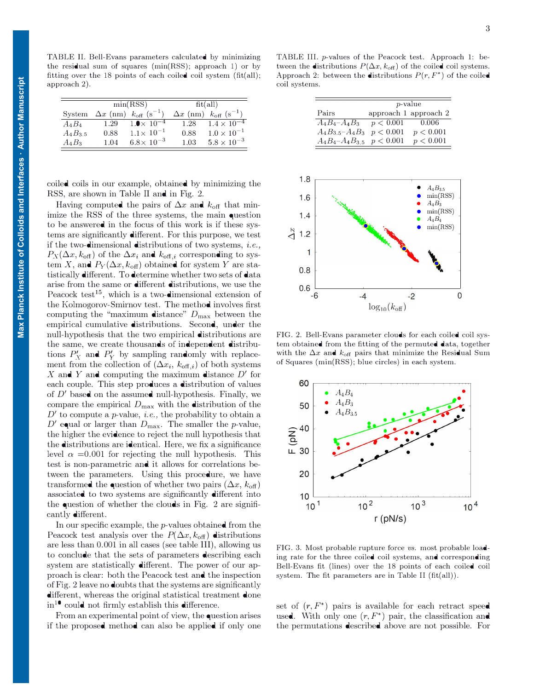TABLE II. Bell-Evans parameters calculated by minimizing the residual sum of squares (min(RSS); approach 1) or by fitting over the 18 points of each coiled coil system (fit(all); approach 2).

|           | min(RSS) |                                                     | fit(all) |                                                     |  |
|-----------|----------|-----------------------------------------------------|----------|-----------------------------------------------------|--|
| System    |          | $\Delta x$ (nm) $k_{\text{off}}$ (s <sup>-1</sup> ) |          | $\Delta x$ (nm) $k_{\text{off}}$ (s <sup>-1</sup> ) |  |
| $A_4B_4$  | 1.29     | $1.0 \times 10^{-4}$                                | 1.28     | $1.4 \times 10^{-4}$                                |  |
| $A_4B_35$ | 0.88     | $1.1 \times 10^{-1}$                                | 0.88     | $1.0 \times 10^{-1}$                                |  |
| $A_4B_3$  | 1 04     | $6.8 \times 10^{-3}$                                | 1 03     | $5.8 \times 10^{-3}$                                |  |

coiled coils in our example, obtained by minimizing the RSS, are shown in Table II and in Fig. 2.

Having computed the pairs of  $\Delta x$  and  $k_{\text{off}}$  that minimize the RSS of the three systems, the main question to be answered in the focus of this work is if these systems are significantly different. For this purpose, we test if the two-dimensional distributions of two systems, i.e.,  $P_X(\Delta x, k_{\text{off}})$  of the  $\Delta x_i$  and  $k_{\text{off},i}$  corresponding to system X, and  $P_Y(\Delta x, k_{\text{off}})$  obtained for system Y are statistically different. To determine whether two sets of data arise from the same or different distributions, we use the Peacock test<sup>15</sup>, which is a two-dimensional extension of the Kolmogorov-Smirnov test. The method involves first computing the "maximum distance"  $D_{\text{max}}$  between the empirical cumulative distributions. Second, under the null-hypothesis that the two empirical distributions are the same, we create thousands of independent distributions  $P'_X$  and  $P'_Y$  by sampling randomly with replacement from the collection of  $(\Delta x_i, k_{\text{off},i})$  of both systems X and Y and computing the maximum distance  $D'$  for each couple. This step produces a distribution of values of  $D'$  based on the assumed null-hypothesis. Finally, we compare the empirical  $D_{\text{max}}$  with the distribution of the  $D'$  to compute a p-value, *i.e.*, the probability to obtain a D' equal or larger than  $D_{\text{max}}$ . The smaller the p-value, the higher the evidence to reject the null hypothesis that the distributions are identical. Here, we fix a significance level  $\alpha = 0.001$  for rejecting the null hypothesis. This test is non-parametric and it allows for correlations between the parameters. Using this procedure, we have transformed the question of whether two pairs  $(\Delta x, k_{\text{off}})$ associated to two systems are significantly different into the question of whether the clouds in Fig. 2 are significantly different.

In our specific example, the  $p$ -values obtained from the Peacock test analysis over the  $P(\Delta x, k_{\text{off}})$  distributions are less than 0.001 in all cases (see table III), allowing us to conclude that the sets of parameters describing each system are statistically different. The power of our approach is clear: both the Peacock test and the inspection of Fig. 2 leave no doubts that the systems are significantly different, whereas the original statistical treatment done  $in<sup>10</sup>$  could not firmly establish this difference.

From an experimental point of view, the question arises if the proposed method can also be applied if only one

TABLE III. p-values of the Peacock test. Approach 1: between the distributions  $P(\Delta x, k_{\text{off}})$  of the coiled coil systems. Approach 2: between the distributions  $P(r, F^*)$  of the coiled coil systems.

|                                   | <i>p</i> -value |                       |  |
|-----------------------------------|-----------------|-----------------------|--|
| Pairs                             |                 | approach 1 approach 2 |  |
| $A_4B_4 - A_4B_3$                 | p < 0.001       | 0.006                 |  |
| $A_4B_{3.5}-A_4B_3$               | p < 0.001       | p < 0.001             |  |
| $A_4B_4 - A_4B_{3,5}$ $p < 0.001$ |                 | p < 0.001             |  |



FIG. 2. Bell-Evans parameter clouds for each coiled coil system obtained from the fitting of the permuted data, together with the  $\Delta x$  and  $k_{\text{off}}$  pairs that minimize the Residual Sum of Squares (min(RSS); blue circles) in each system.



FIG. 3. Most probable rupture force vs. most probable loading rate for the three coiled coil systems, and corresponding Bell-Evans fit (lines) over the 18 points of each coiled coil system. The fit parameters are in Table II (fit(all)).

set of  $(r, F^*)$  pairs is available for each retract speed used. With only one  $(r, F^*)$  pair, the classification and the permutations described above are not possible. For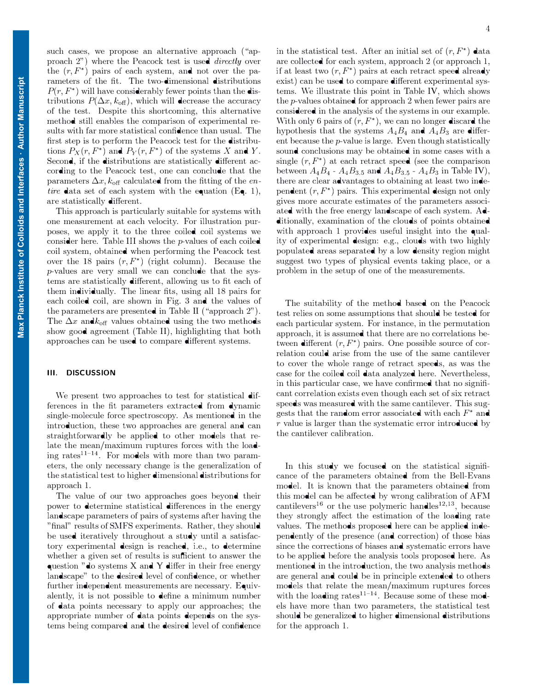tributions  $P(\Delta x, k_{\text{off}})$ , which will decrease the accuracy such cases, we propose an alternative approach ("approach 2") where the Peacock test is used directly over the  $(r, F^*)$  pairs of each system, and not over the parameters of the fit. The two-dimensional distributions  $P(r, F^*)$  will have considerably fewer points than the disof the test. Despite this shortcoming, this alternative method still enables the comparison of experimental results with far more statistical confidence than usual. The first step is to perform the Peacock test for the distributions  $P_X(r, F^*)$  and  $P_Y(r, F^*)$  of the systems X and Y. Second, if the distributions are statistically different according to the Peacock test, one can conclude that the parameters  $\Delta x$ ,  $k_{\text{off}}$  calculated from the fitting of the entire data set of each system with the equation (Eq. 1), are statistically different.

This approach is particularly suitable for systems with one measurement at each velocity. For illustration purposes, we apply it to the three coiled coil systems we consider here. Table III shows the p-values of each coiled coil system, obtained when performing the Peacock test over the 18 pairs  $(r, F^*)$  (right column). Because the p-values are very small we can conclude that the systems are statistically different, allowing us to fit each of them individually. The linear fits, using all 18 pairs for each coiled coil, are shown in Fig. 3 and the values of the parameters are presented in Table II ("approach 2"). The  $\Delta x$  and  $k_{\text{off}}$  values obtained using the two methods show good agreement (Table II), highlighting that both approaches can be used to compare different systems.

#### Ill. DISCUSSION

We present two approaches to test for statistical differences in the fit parameters extracted from dynamic single-molecule force spectroscopy. As mentioned in the introduction, these two approaches are general and can straightforwardly be applied to other models that relate the mean/maximum ruptures forces with the loading rates<sup>11-14</sup>. For models with more than two parameters, the only necessary change is the generalization of the statistical test to higher dimensional distributions for approach 1.

The value of our two approaches goes beyond their power to determine statistical differences in the energy landscape parameters of pairs of systems after having the "final" results of SMFS experiments. Rather, they should be used iteratively throughout a study until a satisfactory experimental design is reached, i.e., to determine whether a given set of results is sufficient to answer the question "do systems X and Y differ in their free energy landscape" to the desired level of confidence, or whether further independent measurements are necessary. Equivalently, it is not possible to define a minimum number of data points necessary to apply our approaches; the appropriate number of data points depends on the systems being compared and the desired level of confidence

in the statistical test. After an initial set of  $(r, F^*)$  data are collected for each system, approach 2 (or approach 1, if at least two  $(r, F^*)$  pairs at each retract speed already exist) can be used to compare different experimental systems. We illustrate this point in Table IV, which shows the p-values obtained for approach 2 when fewer pairs are considered in the analysis of the systems in our example. With only 6 pairs of  $(r, F^*)$ , we can no longer discard the hypothesis that the systems  $A_4B_4$  and  $A_4B_3$  are different because the  $p$ -value is large. Even though statistically sound conclusions may be obtained in some cases with a single  $(r, F^*)$  at each retract speed (see the comparison between  $A_4B_4$  -  $A_4B_{3,5}$  and  $A_4B_{3,5}$  -  $A_4B_3$  in Table IV), there are clear advantages to obtaining at least two independent  $(r, F^*)$  pairs. This experimental design not only gives more accurate estimates of the parameters associated with the free energy landscape of each system. Additionally, examination of the clouds of points obtained with approach 1 provides useful insight into the quality of experimental design: e.g., clouds with two highly populated areas separated by a low density region might suggest two types of physical events taking place, or a problem in the setup of one of the measurements.

The suitability of the method based on the Peacock test relies on some assumptions that should be tested for each particular system. For instance, in the permutation approach, it is assumed that there are no correlations between different  $(r, F^*)$  pairs. One possible source of correlation could arise from the use of the same cantilever to cover the whole range of retract speeds, as was the case for the coiled coil data analyzed here. Nevertheless, in this particular case, we have confirmed that no significant correlation exists even though each set of six retract speeds was measured with the same cantilever. This suggests that the random error associated with each  $F^*$  and r value is larger than the systematic error introduced by the cantilever calibration.

In this study we focused on the statistical significance of the parameters obtained from the Bell-Evans model. It is known that the parameters obtained from this model can be affected by wrong calibration of AFM cantilevers<sup>16</sup> or the use polymeric handles<sup>12,13</sup>, because they strongly affect the estimation of the loading rate values. The methods proposed here can be applied independently of the presence (and correction) of those bias since the corrections of biases and systematic errors have to be applied before the analysis tools proposed here. As mentioned in the introduction, the two analysis methods are general and could be in principle extended to others models that relate the mean/maximum ruptures forces with the loading rates<sup>11-14</sup>. Because some of these models have more than two parameters, the statistical test should be generalized to higher dimensional distributions for the approach 1.